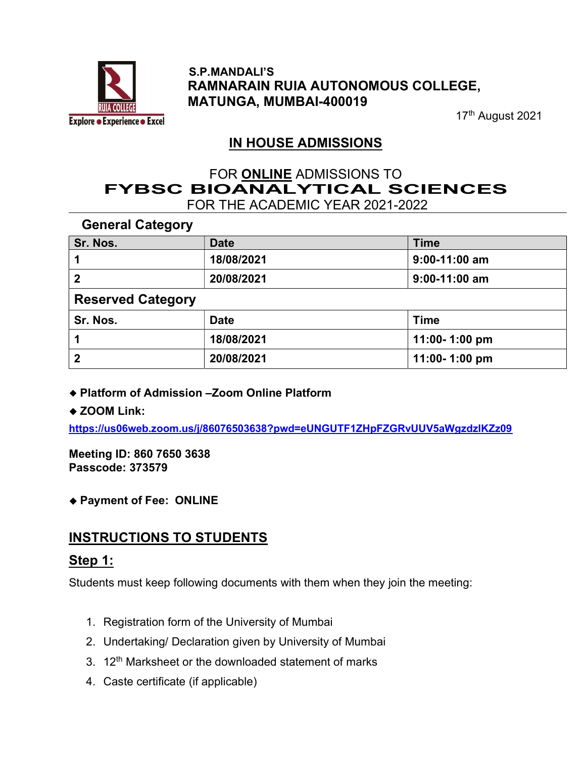

#### S.P.MANDALI'S RAMNARAIN RUIA AUTONOMOUS COLLEGE, MATUNGA, MUMBAI-400019

17<sup>th</sup> August 2021

# IN HOUSE ADMISSIONS

# FOR ONLINE ADMISSIONS TO<br>FYBSC BIOANALYTICAL SCIENCES FOR THE ACADEMIC YEAR 2021-2022

General Category

| Sr. Nos.                 | <b>Date</b> | <b>Time</b>     |
|--------------------------|-------------|-----------------|
|                          | 18/08/2021  | $9:00-11:00$ am |
| 2                        | 20/08/2021  | $9:00-11:00$ am |
| <b>Reserved Category</b> |             |                 |
| Sr. Nos.                 | <b>Date</b> | <b>Time</b>     |
|                          | 18/08/2021  | 11:00-1:00 pm   |
| $\mathbf 2$              | 20/08/2021  | 11:00-1:00 pm   |

#### ◆ Platform of Admission –Zoom Online Platform

#### ◆ ZOOM Link:

https://us06web.zoom.us/j/86076503638?pwd=eUNGUTF1ZHpFZGRvUUV5aWgzdzlKZz09

Meeting ID: 860 7650 3638 Passcode: 373579

### Payment of Fee: ONLINE

# INSTRUCTIONS TO STUDENTS

### Step 1:

Students must keep following documents with them when they join the meeting:

- 1. Registration form of the University of Mumbai
- 2. Undertaking/ Declaration given by University of Mumbai
- 3. 12<sup>th</sup> Marksheet or the downloaded statement of marks
- 4. Caste certificate (if applicable)